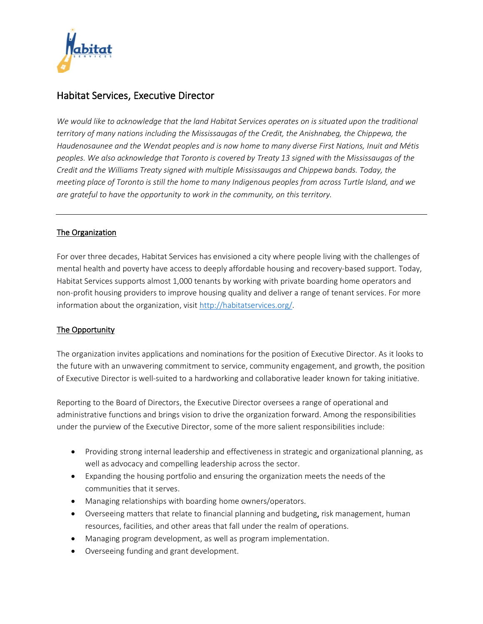

# Habitat Services, Executive Director

We would like to acknowledge that the land Habitat Services operates on is situated upon the traditional *territory of many nations including the Mississaugas of the Credit, the Anishnabeg, the Chippewa, the Haudenosaunee and the Wendat peoples and is now home to many diverse First Nations, Inuit and Métis peoples. We also acknowledge that Toronto is covered by Treaty 13 signed with the Mississaugas of the Credit and the Williams Treaty signed with multiple Mississaugas and Chippewa bands. Today, the meeting place of Toronto is still the home to many Indigenous peoples from across Turtle Island, and we are grateful to have the opportunity to work in the community, on this territory.*

## The Organization

For over three decades, Habitat Services has envisioned a city where people living with the challenges of mental health and poverty have access to deeply affordable housing and recovery-based support. Today, Habitat Services supports almost 1,000 tenants by working with private boarding home operators and non-profit housing providers to improve housing quality and deliver a range of tenant services. For more information about the organization, visi[t http://habitatservices.org/.](http://habitatservices.org/)

### The Opportunity

The organization invites applications and nominations for the position of Executive Director. As it looks to the future with an unwavering commitment to service, community engagement, and growth, the position of Executive Director is well-suited to a hardworking and collaborative leader known for taking initiative.

Reporting to the Board of Directors, the Executive Director oversees a range of operational and administrative functions and brings vision to drive the organization forward. Among the responsibilities under the purview of the Executive Director, some of the more salient responsibilities include:

- Providing strong internal leadership and effectiveness in strategic and organizational planning, as well as advocacy and compelling leadership across the sector.
- Expanding the housing portfolio and ensuring the organization meets the needs of the communities that it serves.
- Managing relationships with boarding home owners/operators.
- Overseeing matters that relate to financial planning and budgeting, risk management, human resources, facilities, and other areas that fall under the realm of operations.
- Managing program development, as well as program implementation.
- Overseeing funding and grant development.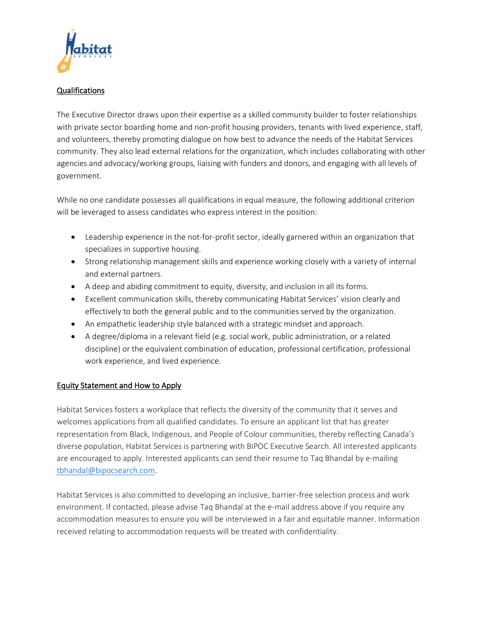

#### Qualifications

The Executive Director draws upon their expertise as a skilled community builder to foster relationships with private sector boarding home and non-profit housing providers, tenants with lived experience, staff, and volunteers, thereby promoting dialogue on how best to advance the needs of the Habitat Services community. They also lead external relations for the organization, which includes collaborating with other agencies and advocacy/working groups, liaising with funders and donors, and engaging with all levels of government.

While no one candidate possesses all qualifications in equal measure, the following additional criterion will be leveraged to assess candidates who express interest in the position:

- Leadership experience in the not-for-profit sector, ideally garnered within an organization that specializes in supportive housing.
- Strong relationship management skills and experience working closely with a variety of internal and external partners.
- A deep and abiding commitment to equity, diversity, and inclusion in all its forms.
- Excellent communication skills, thereby communicating Habitat Services' vision clearly and effectively to both the general public and to the communities served by the organization.
- An empathetic leadership style balanced with a strategic mindset and approach.
- A degree/diploma in a relevant field (e.g. social work, public administration, or a related discipline) or the equivalent combination of education, professional certification, professional work experience, and lived experience.

### Equity Statement and How to Apply

Habitat Services fosters a workplace that reflects the diversity of the community that it serves and welcomes applications from all qualified candidates. To ensure an applicant list that has greater representation from Black, Indigenous, and People of Colour communities, thereby reflecting Canada's diverse population, Habitat Services is partnering with BIPOC Executive Search. All interested applicants are encouraged to apply. Interested applicants can send their resume to Taq Bhandal by e-mailing [tbhandal@bipocsearch.com.](mailto:tbhandal@bipocsearch.com)

Habitat Services is also committed to developing an inclusive, barrier-free selection process and work environment. If contacted, please advise Taq Bhandal at the e-mail address above if you require any accommodation measures to ensure you will be interviewed in a fair and equitable manner. Information received relating to accommodation requests will be treated with confidentiality.